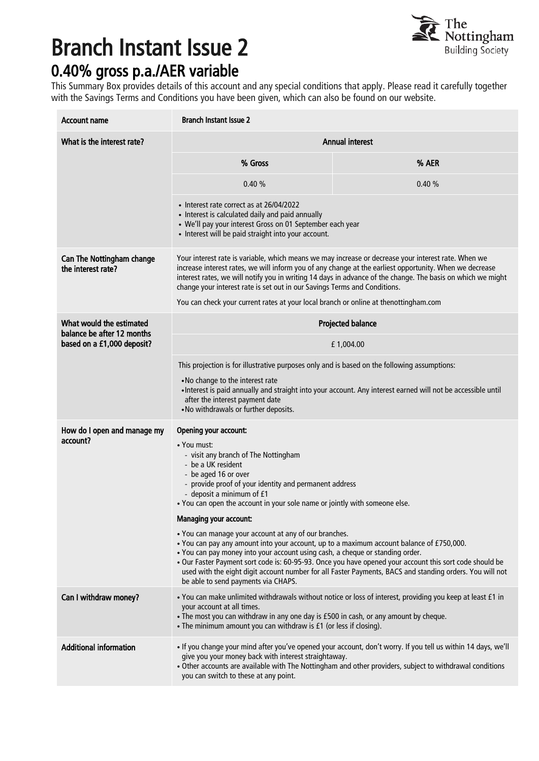## Branch Instant Issue 2



## 0.40% gross p.a./AER variable

This Summary Box provides details of this account and any special conditions that apply. Please read it carefully together with the Savings Terms and Conditions you have been given, which can also be found on our website.

| <b>Account name</b>                                                                  | <b>Branch Instant Issue 2</b>                                                                                                                                                                                                                                                                                                                                                                                                                                                                      |       |
|--------------------------------------------------------------------------------------|----------------------------------------------------------------------------------------------------------------------------------------------------------------------------------------------------------------------------------------------------------------------------------------------------------------------------------------------------------------------------------------------------------------------------------------------------------------------------------------------------|-------|
| What is the interest rate?                                                           | <b>Annual interest</b>                                                                                                                                                                                                                                                                                                                                                                                                                                                                             |       |
|                                                                                      | % Gross                                                                                                                                                                                                                                                                                                                                                                                                                                                                                            | % AER |
|                                                                                      | 0.40%                                                                                                                                                                                                                                                                                                                                                                                                                                                                                              | 0.40% |
|                                                                                      | • Interest rate correct as at 26/04/2022<br>• Interest is calculated daily and paid annually<br>• We'll pay your interest Gross on 01 September each year<br>• Interest will be paid straight into your account.                                                                                                                                                                                                                                                                                   |       |
| <b>Can The Nottingham change</b><br>the interest rate?                               | Your interest rate is variable, which means we may increase or decrease your interest rate. When we<br>increase interest rates, we will inform you of any change at the earliest opportunity. When we decrease<br>interest rates, we will notify you in writing 14 days in advance of the change. The basis on which we might<br>change your interest rate is set out in our Savings Terms and Conditions.<br>You can check your current rates at your local branch or online at thenottingham.com |       |
| What would the estimated<br>balance be after 12 months<br>based on a £1,000 deposit? | <b>Projected balance</b>                                                                                                                                                                                                                                                                                                                                                                                                                                                                           |       |
|                                                                                      | £1,004.00                                                                                                                                                                                                                                                                                                                                                                                                                                                                                          |       |
|                                                                                      | This projection is for illustrative purposes only and is based on the following assumptions:                                                                                                                                                                                                                                                                                                                                                                                                       |       |
|                                                                                      | . No change to the interest rate<br>• Interest is paid annually and straight into your account. Any interest earned will not be accessible until<br>after the interest payment date<br>. No withdrawals or further deposits.                                                                                                                                                                                                                                                                       |       |
| How do I open and manage my<br>account?                                              | Opening your account:<br>• You must:<br>- visit any branch of The Nottingham<br>- be a UK resident<br>- be aged 16 or over<br>- provide proof of your identity and permanent address<br>- deposit a minimum of £1<br>. You can open the account in your sole name or jointly with someone else.                                                                                                                                                                                                    |       |
|                                                                                      | Managing your account:                                                                                                                                                                                                                                                                                                                                                                                                                                                                             |       |
|                                                                                      | • You can manage your account at any of our branches.<br>. You can pay any amount into your account, up to a maximum account balance of £750,000.<br>. You can pay money into your account using cash, a cheque or standing order.<br>· Our Faster Payment sort code is: 60-95-93. Once you have opened your account this sort code should be<br>used with the eight digit account number for all Faster Payments, BACS and standing orders. You will not<br>be able to send payments via CHAPS.   |       |
| Can I withdraw money?                                                                | • You can make unlimited withdrawals without notice or loss of interest, providing you keep at least £1 in<br>your account at all times.<br>. The most you can withdraw in any one day is £500 in cash, or any amount by cheque.<br>• The minimum amount you can withdraw is £1 (or less if closing).                                                                                                                                                                                              |       |
| <b>Additional information</b>                                                        | • If you change your mind after you've opened your account, don't worry. If you tell us within 14 days, we'll<br>give you your money back with interest straightaway.<br>. Other accounts are available with The Nottingham and other providers, subject to withdrawal conditions<br>you can switch to these at any point.                                                                                                                                                                         |       |